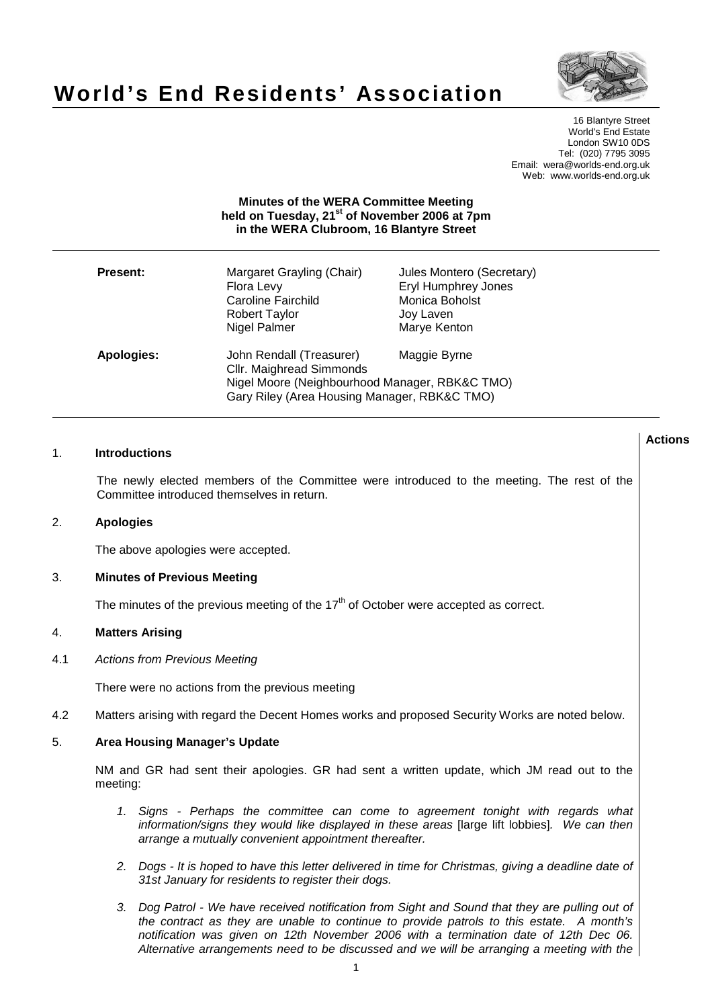

# **World's End Residents' Association**

16 Blantyre Street World's End Estate London SW10 0DS Tel: (020) 7795 3095 Email: wera@worlds-end.org.uk Web: www.worlds-end.org.uk

# **Minutes of the WERA Committee Meeting held on Tuesday, 21st of November 2006 at 7pm in the WERA Clubroom, 16 Blantyre Street**

| <b>Present:</b>   | Margaret Grayling (Chair)<br>Flora Levy<br><b>Caroline Fairchild</b><br><b>Robert Taylor</b><br>Nigel Palmer                                           | Jules Montero (Secretary)<br><b>Eryl Humphrey Jones</b><br>Monica Boholst<br>Joy Laven<br>Marye Kenton |
|-------------------|--------------------------------------------------------------------------------------------------------------------------------------------------------|--------------------------------------------------------------------------------------------------------|
| <b>Apologies:</b> | John Rendall (Treasurer)<br>Cllr. Maighread Simmonds<br>Nigel Moore (Neighbourhood Manager, RBK&C TMO)<br>Gary Riley (Area Housing Manager, RBK&C TMO) | Maggie Byrne                                                                                           |

| 1.  |                                                                                                        | <b>Introductions</b>                                                                                                                                                                                                                                                             | <b>Actions</b> |
|-----|--------------------------------------------------------------------------------------------------------|----------------------------------------------------------------------------------------------------------------------------------------------------------------------------------------------------------------------------------------------------------------------------------|----------------|
|     |                                                                                                        | The newly elected members of the Committee were introduced to the meeting. The rest of the<br>Committee introduced themselves in return.                                                                                                                                         |                |
| 2.  | <b>Apologies</b>                                                                                       |                                                                                                                                                                                                                                                                                  |                |
|     |                                                                                                        | The above apologies were accepted.                                                                                                                                                                                                                                               |                |
| 3.  | <b>Minutes of Previous Meeting</b>                                                                     |                                                                                                                                                                                                                                                                                  |                |
|     |                                                                                                        | The minutes of the previous meeting of the 17 <sup>th</sup> of October were accepted as correct.                                                                                                                                                                                 |                |
| 4.  | <b>Matters Arising</b>                                                                                 |                                                                                                                                                                                                                                                                                  |                |
| 4.1 | <b>Actions from Previous Meeting</b>                                                                   |                                                                                                                                                                                                                                                                                  |                |
|     |                                                                                                        | There were no actions from the previous meeting                                                                                                                                                                                                                                  |                |
| 4.2 |                                                                                                        | Matters arising with regard the Decent Homes works and proposed Security Works are noted below.                                                                                                                                                                                  |                |
| 5.  | <b>Area Housing Manager's Update</b>                                                                   |                                                                                                                                                                                                                                                                                  |                |
|     | NM and GR had sent their apologies. GR had sent a written update, which JM read out to the<br>meeting: |                                                                                                                                                                                                                                                                                  |                |
|     |                                                                                                        | 1. Signs - Perhaps the committee can come to agreement tonight with regards what<br>information/signs they would like displayed in these areas [large lift lobbies]. We can then<br>arrange a mutually convenient appointment thereafter.                                        |                |
|     |                                                                                                        | 2. Dogs - It is hoped to have this letter delivered in time for Christmas, giving a deadline date of<br>31st January for residents to register their dogs.                                                                                                                       |                |
|     | 3.                                                                                                     | Dog Patrol - We have received notification from Sight and Sound that they are pulling out of<br>the contract as they are unable to continue to provide patrols to this estate. A month's<br>notification was given on 12th November 2006 with a termination date of 12th Dec 06. |                |

Alternative arrangements need to be discussed and we will be arranging a meeting with the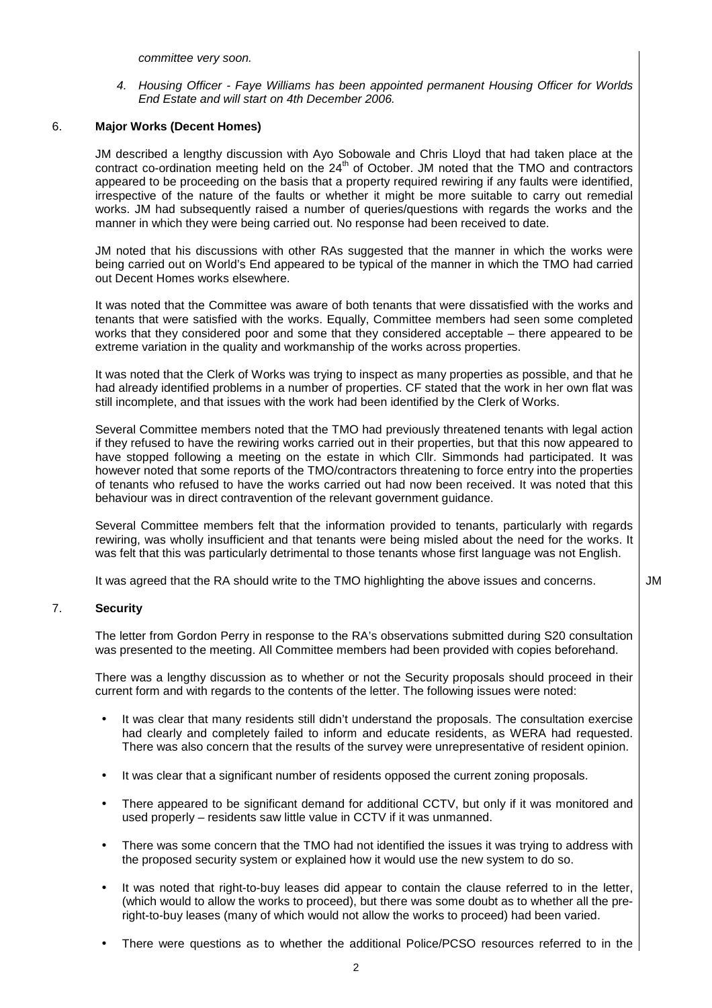committee very soon.

4. Housing Officer - Faye Williams has been appointed permanent Housing Officer for Worlds End Estate and will start on 4th December 2006.

# 6. **Major Works (Decent Homes)**

 JM described a lengthy discussion with Ayo Sobowale and Chris Lloyd that had taken place at the contract co-ordination meeting held on the 24<sup>th</sup> of October. JM noted that the TMO and contractors appeared to be proceeding on the basis that a property required rewiring if any faults were identified, irrespective of the nature of the faults or whether it might be more suitable to carry out remedial works. JM had subsequently raised a number of queries/questions with regards the works and the manner in which they were being carried out. No response had been received to date.

 JM noted that his discussions with other RAs suggested that the manner in which the works were being carried out on World's End appeared to be typical of the manner in which the TMO had carried out Decent Homes works elsewhere.

 It was noted that the Committee was aware of both tenants that were dissatisfied with the works and tenants that were satisfied with the works. Equally, Committee members had seen some completed works that they considered poor and some that they considered acceptable – there appeared to be extreme variation in the quality and workmanship of the works across properties.

 It was noted that the Clerk of Works was trying to inspect as many properties as possible, and that he had already identified problems in a number of properties. CF stated that the work in her own flat was still incomplete, and that issues with the work had been identified by the Clerk of Works.

 Several Committee members noted that the TMO had previously threatened tenants with legal action if they refused to have the rewiring works carried out in their properties, but that this now appeared to have stopped following a meeting on the estate in which Cllr. Simmonds had participated. It was however noted that some reports of the TMO/contractors threatening to force entry into the properties of tenants who refused to have the works carried out had now been received. It was noted that this behaviour was in direct contravention of the relevant government guidance.

 Several Committee members felt that the information provided to tenants, particularly with regards rewiring, was wholly insufficient and that tenants were being misled about the need for the works. It was felt that this was particularly detrimental to those tenants whose first language was not English.

It was agreed that the RA should write to the TMO highlighting the above issues and concerns.  $\vert$  JM

# 7. **Security**

 The letter from Gordon Perry in response to the RA's observations submitted during S20 consultation was presented to the meeting. All Committee members had been provided with copies beforehand.

 There was a lengthy discussion as to whether or not the Security proposals should proceed in their current form and with regards to the contents of the letter. The following issues were noted:

- It was clear that many residents still didn't understand the proposals. The consultation exercise had clearly and completely failed to inform and educate residents, as WERA had requested. There was also concern that the results of the survey were unrepresentative of resident opinion.
- It was clear that a significant number of residents opposed the current zoning proposals.
- There appeared to be significant demand for additional CCTV, but only if it was monitored and used properly – residents saw little value in CCTV if it was unmanned.
- There was some concern that the TMO had not identified the issues it was trying to address with the proposed security system or explained how it would use the new system to do so.
- It was noted that right-to-buy leases did appear to contain the clause referred to in the letter, (which would to allow the works to proceed), but there was some doubt as to whether all the preright-to-buy leases (many of which would not allow the works to proceed) had been varied.
- There were questions as to whether the additional Police/PCSO resources referred to in the